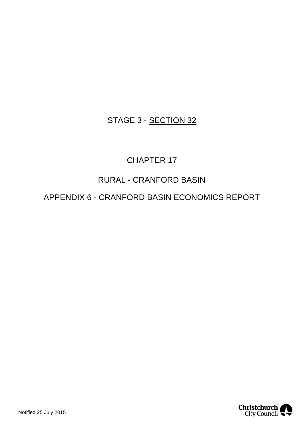### STAGE 3 - SECTION 32

### CHAPTER 17

### RURAL - CRANFORD BASIN

APPENDIX 6 - CRANFORD BASIN ECONOMICS REPORT

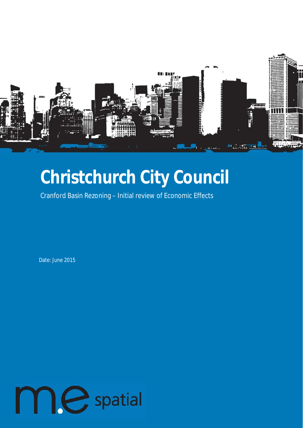

# **Christchurch City Council**

Cranford Basin Rezoning – Initial review of Economic Effects

Date: June 2015

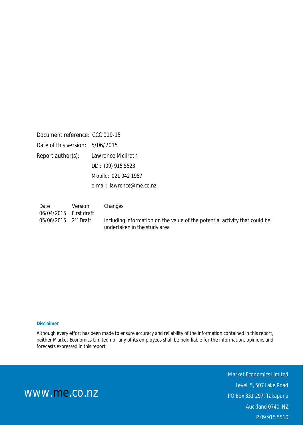| Document reference: CCC 019-15  |                           |
|---------------------------------|---------------------------|
| Date of this version: 5/06/2015 |                           |
| Report author(s):               | Lawrence McIlrath         |
|                                 | DDI: (09) 915 5523        |
|                                 | Mobile: 021 042 1957      |
|                                 | e-mail: lawrence@me.co.nz |

| Date                               | Version | Changes                                                                                                    |
|------------------------------------|---------|------------------------------------------------------------------------------------------------------------|
| 06/04/2015 First draft             |         |                                                                                                            |
| $05/06/2015$ 2 <sup>nd</sup> Draft |         | Including information on the value of the potential activity that could be<br>undertaken in the study area |

#### **Disclaimer**

Although every effort has been made to ensure accuracy and reliability of the information contained in this report, neither Market Economics Limited nor any of its employees shall be held liable for the information, opinions and forecasts expressed in this report.

> Market Economics Limited Level 5, 507 Lake Road PO Box 331 297, Takapuna Auckland 0740, NZ P 09 915 5510

www.me.co.nz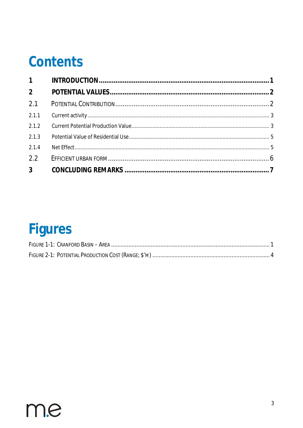## Contents

| $\overline{2}$ |  |
|----------------|--|
| 2.1            |  |
| 2.1.1          |  |
|                |  |
| 2.1.3          |  |
| 2.1.4          |  |
| 2.2            |  |
|                |  |

# Figures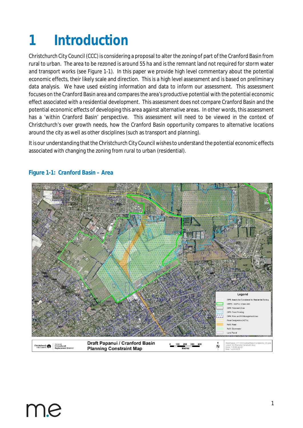# <span id="page-4-1"></span><span id="page-4-0"></span>**1 Introduction**

Christchurch City Council (CCC) is considering a proposal to alter the zoning of part of the Cranford Basin from rural to urban. The area to be rezoned is around 55 ha and is the remnant land not required for storm water and transport works (see [Figure 1-](#page-10-1)1). In this paper we provide high level commentary about the potential economic effects, their likely scale and direction. This is a high level assessment and is based on preliminary data analysis. We have used existing information and data to inform our assessment. This assessment focuses on the Cranford Basin area and compares the area's productive potential with the potential economic effect associated with a residential development. This assessment does not compare Cranford Basin and the potential economic effects of developing this area against alternative areas. In other words, this assessment has a 'within Cranford Basin' perspective. This assessment will need to be viewed in the context of Christchurch's over growth needs, how the Cranford Basin opportunity compares to alternative locations around the city as well as other disciplines (such as transport and planning).

It is our understanding that the Christchurch City Council wishes to understand the potential economic effects associated with changing the zoning from rural to urban (residential).



#### **Figure 1-1: Cranford Basin – Area**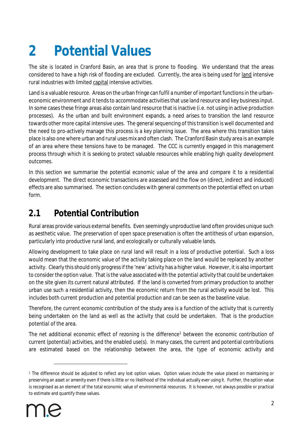# <span id="page-5-0"></span>**2 Potential Values**

The site is located in Cranford Basin, an area that is prone to flooding. We understand that the areas considered to have a high risk of flooding are excluded. Currently, the area is being used for land intensive rural industries with limited capital intensive activities.

Land is a valuable resource. Areas on the urban fringe can fulfil a number of important functions in the urbaneconomic environment and it tends to accommodate activities that use land resource and key business input. In some cases these fringe areas also contain land resource that is inactive (i.e. not using in active production processes). As the urban and built environment expands, a need arises to transition the land resource towards other more capital intensive uses. The general sequencing of this transition is well documented and the need to pro-actively manage this process is a key planning issue. The area where this transition takes place is also one where urban and rural uses mix and often clash. The Cranford Basin study area is an example of an area where these tensions have to be managed. The CCC is currently engaged in this management process through which it is seeking to protect valuable resources while enabling high quality development outcomes.

In this section we summarise the potential economic value of the area and compare it to a residential development. The direct economic transactions are assessed and the flow on (direct, indirect and induced) effects are also summarised. The section concludes with general comments on the potential effect on urban form.

### <span id="page-5-1"></span>**2.1 Potential Contribution**

Rural areas provide various external benefits. Even seemingly unproductive land often provides unique such as aesthetic value. The preservation of open space preservation is often the antithesis of urban expansion, particularly into productive rural land, and ecologically or culturally valuable lands.

Allowing development to take place on rural land will result in a loss of productive *potential.* Such a loss would mean that the economic value of the activity taking place on the land would be replaced by another activity. Clearly this should only progress if the 'new' activity has a higher value. However, it is also important to consider the option value. That is the value associated with the *potential* activity that could be undertaken on the site given its current natural attributed. If the land is converted from primary production to another urban use such a residential activity, then the economic return from the rural activity would be lost. This includes both current production and potential production and can be seen as the baseline value.

Therefore, the current economic contribution of the study area is a function of the activity that is currently being undertaken on the land as well as the activity that could be undertaken. That is the production *potential* of the area.

The net additional economic effect of rezoning is the difference<sup>[1](#page-5-2)</sup> between the economic contribution of current (potential) activities, and the enabled use(s). In many cases, the current and potential contributions are estimated based on the relationship between the area, the type of economic activity and

<span id="page-5-2"></span><sup>1</sup> The difference should be adjusted to reflect any lost option values. Option values include the value placed on maintaining or preserving an asset or amenity even if there is little or no likelihood of the individual actually ever using it. Further, the option value is recognised as an element of the [total economic value](http://en.wikipedia.org/wiki/Total_economic_value) of environmental resources. It is however, not always possible or practical to estimate and quantify these values.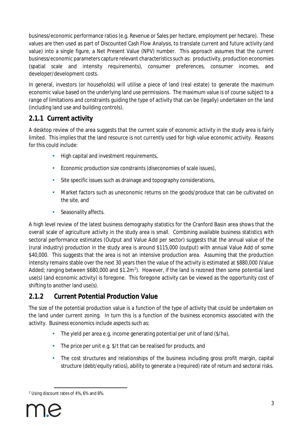business/economic performance ratios (e.g. Revenue or Sales per hectare, employment per hectare). These values are then used as part of Discounted Cash Flow Analysis, to translate current and future activity (and value) into a single figure, a Net Present Value (NPV) number. This approach assumes that the current business/economic parameters capture relevant characteristics such as: productivity, production economies (spatial scale and intensity requirements), consumer preferences, consumer incomes, and developer/development costs.

In general, investors (or households) will utilise a piece of land (real estate) to generate the maximum economic value based on the underlying land use permissions. The maximum value is of course subject to a range of limitations and constraints guiding the type of activity that can be (legally) undertaken on the land (including land use and building controls).

#### <span id="page-6-0"></span>**2.1.1 Current activity**

A desktop review of the area suggests that the current scale of economic activity in the study area is fairly limited. This implies that the land resource is not currently used for high value economic activity. Reasons for this could include:

- High capital and investment requirements,
- Economic production size constraints (diseconomies of scale issues),
- Site specific issues such as drainage and topography considerations,
- Market factors such as uneconomic returns on the goods/produce that can be cultivated on the site, and
- Seasonality affects. ÷.

A high level review of the latest business demography statistics for the Cranford Basin area shows that the overall scale of agriculture activity in the study area is small. Combining available business statistics with sectoral performance estimates (Output and Value Add per sector) suggests that the annual value of the (rural industry) production in the study area is around \$115,000 (output) with annual Value Add of some \$40,000. This suggests that the area is not an intensive production area. Assuming that the production intensity remains stable over the next 30 years then the value of the activity is estimated at \$880,000 (Value Added; ranging between \$680,000 and \$1.[2](#page-6-2)m<sup>2</sup>). However, if the land is rezoned then some potential land use(s) (and economic activity) is foregone. This foregone activity can be viewed as the opportunity cost of shifting to another land use(s).

#### <span id="page-6-1"></span>**2.1.2 Current Potential Production Value**

The size of the potential production value is a function of the type of activity that could be undertaken on the land under current zoning. In turn this is a function of the business economics associated with the activity. Business economics include aspects such as:

- The yield per area e.g. income generating potential per unit of land (\$/ha),
- The price per unit e.g. \$/t that can be realised for products, and
- The cost structures and relationships of the business including gross profit margin, capital structure (debt/equity ratios), ability to generate a (required) rate of return and sectoral risks.

<span id="page-6-2"></span><sup>2</sup> Using discount rates of 4%, 6% and 8%.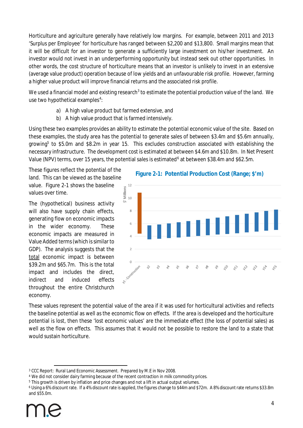Horticulture and agriculture generally have relatively low margins. For example, between 2011 and 2013 'Surplus per Employee' for horticulture has ranged between \$2,200 and \$13,800. Small margins mean that it will be difficult for an investor to generate a sufficiently large investment on his/her investment. An investor would not invest in an underperforming opportunity but instead seek out other opportunities. In other words, the cost structure of horticulture means that an investor is unlikely to invest in an extensive (average value product) operation because of low yields and an unfavourable risk profile. However, farming a higher value product will improve financial returns and the associated risk profile.

We used a financial model and existing research $^3$  $^3$  to estimate the potential production value of the land. We use two hypothetical examples<sup>[4](#page-7-1)</sup>:

- a) A high value product but farmed extensive, and
- b) A high value product that is farmed intensively.

Using these two examples provides an ability to estimate the *potential* economic value of the site. Based on these examples, the study area has the *potential* to generate sales of between \$3.4m and \$5.6m annually, growing<sup>[5](#page-7-2)</sup> to \$5.0m and \$8.2m in year 15. This excludes construction associated with establishing the necessary infrastructure. The development cost is estimated at between \$4.6m and \$10.8m. In Net Present Value (NPV) terms, over 15 years, the potential sales is estimated<sup>[6](#page-7-3)</sup> at between \$38.4m and \$62.5m.

These figures reflect the potential of the land. This can be viewed as the baseline value. [Figure 2-1](#page-10-1) shows the baseline values over time.

The (hypothetical) business activity will also have supply chain effects, generating flow on economic impacts in the wider economy. These economic impacts are measured in Value Added terms (which is similar to GDP). The analysis suggests that the total economic impact is between \$39.2m and \$65.7m. This is the total impact and includes the direct, indirect and induced effects throughout the entire Christchurch economy.



These values represent the potential value of the area if it was used for horticultural activities and reflects the baseline potential as well as the economic flow on effects. If the area is developed and the horticulture potential is lost, then these 'lost economic values' are the immediate effect (the loss of potential sales) as well as the flow on effects. This assumes that it would not be possible to restore the land to a state that would sustain horticulture.

<span id="page-7-0"></span><sup>3</sup> CCC Report: Rural Land Economic Assessment. Prepared by M.E in Nov 2008.

<span id="page-7-1"></span><sup>4</sup> We did not consider dairy farming because of the recent contraction in milk commodity prices.

<span id="page-7-2"></span> $^5$  This growth is driven by inflation and price changes and not a lift in actual output volumes.

<span id="page-7-3"></span><sup>6</sup> Using a 6% discount rate. If a 4% discount rate is applied, the figures change to \$44m and \$72m. A 8% discount rate returns \$33.8m and \$55.0m.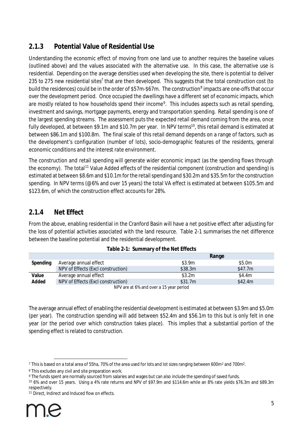### <span id="page-8-0"></span>**2.1.3 Potential Value of Residential Use**

Understanding the economic effect of moving from one land use to another requires the baseline values (outlined above) and the values associated with the alternative use. In this case, the alternative use is residential. Depending on the average densities used when developing the site, there is potential to deliver 235 to 2[7](#page-8-3)5 new residential sites<sup>7</sup> that are then developed. This suggests that the total construction cost (to build the residences) could be in the order of \$57m-\$67m. The construction<sup>[8](#page-8-4)</sup> impacts are one-offs that occur over the development period. Once occupied the dwellings have a different set of economic impacts, which are mostly related to how households spend their income<sup>[9](#page-8-5)</sup>. This includes aspects such as retail spending, investment and savings, mortgage payments, energy and transportation spending. Retail spending is one of the largest spending streams. The assessment puts the expected retail demand coming from the area, once fully developed, at between \$9.1m and \$[10](#page-8-6).7m per year. In NPV terms<sup>10</sup>, this retail demand is estimated at between \$86.1m and \$100.8m. The final scale of this retail demand depends on a range of factors, such as the development's configuration (number of lots), socio-demographic features of the residents, general economic conditions and the interest rate environment.

The construction and retail spending will generate wider economic impact (as the spending flows through the economy). The total<sup>[11](#page-8-7)</sup> Value Added effects of the residential component (construction and spending) is estimated at between \$8.6m and \$10.1m for the retail spending and \$30.2m and \$35.5m for the construction spending. In NPV terms (@6% and over 15 years) the total VA effect is estimated at between \$105.5m and \$123.6m, of which the construction effect accounts for 28%.

#### <span id="page-8-1"></span>**2.1.4 Net Effect**

From the above, enabling residential in the Cranford Basin will have a net positive effect after adjusting for the loss of potential activities associated with the land resource. [Table 2-1](#page-8-2) summarises the net difference between the baseline potential and the residential development.

|          |                                    | Range                                   |         |
|----------|------------------------------------|-----------------------------------------|---------|
| Spending | Average annual effect              | \$3.9m                                  | \$5.0m  |
|          | NPV of Effects (Excl construction) | \$38.3m                                 | \$47.7m |
| Value    | Average annual effect              | \$3.2m                                  | \$4.4m  |
| Added    | NPV of Effects (Excl construction) | \$31.7m                                 | \$42.4m |
|          |                                    | NPV are at 6% and over a 15 year period |         |

<span id="page-8-2"></span>

|  | Table 2-1: Summary of the Net Effects |  |
|--|---------------------------------------|--|
|--|---------------------------------------|--|

The average annual effect of enabling the residential development is estimated at between \$3.9m and \$5.0m (per year). The construction spending will add between \$52.4m and \$56.1m to this but is only felt in one year (or the period over which construction takes place). This implies that a substantial portion of the spending effect is related to construction.

<span id="page-8-3"></span> $^7$  This is based on a total area of 55ha, 70% of the area used for lots and lot sizes ranging between 600m<sup>2</sup> and 700m<sup>2</sup>.

<span id="page-8-4"></span><sup>8</sup> This excludes any civil and site preparation work.

<span id="page-8-5"></span><sup>9</sup> The funds spent are normally sourced from salaries and wages but can also include the spending of saved funds.

<span id="page-8-6"></span><sup>10</sup> 6% and over 15 years. Using a 4% rate returns and NPV of \$97.9m and \$114.6m while an 8% rate yields \$76.3m and \$89.3m respectively.

<span id="page-8-7"></span><sup>&</sup>lt;sup>11</sup> Direct, Indirect and Induced flow on effects.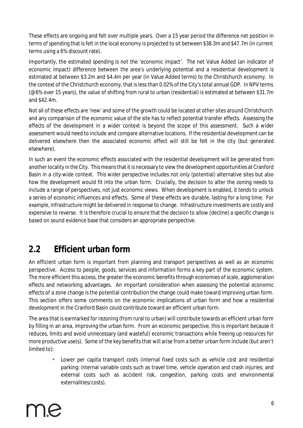These effects are ongoing and felt over multiple years. Over a 15 year period the difference net position in terms of spending that is felt in the local economy is projected to sit between \$38.3m and \$47.7m (in current terms using a 6% discount rate).

Importantly, the estimated spending is not the 'economic impact'. The net Value Added (an indicator of economic impact) difference between the area's underlying potential and a residential development is estimated at between \$3.2m and \$4.4m per year (in Value Added terms) to the Christchurch economy. In the context of the Christchurch economy, that is less than 0.02% of the City's total annual GDP. In NPV terms (@6% over 15 years), the value of shifting from rural to urban (residential) is estimated at between \$31.7m and \$42.4m.

Not all of these effects are 'new' and some of the growth could be located at other sites around Christchurch and any comparison of the economic value of the site has to reflect potential transfer effects. Assessing the effects of the development in a wider context is beyond the scope of this assessment. Such a wider assessment would need to include and compare alternative locations. If the residential development can be delivered elsewhere then the associated economic effect will still be felt in the city (but generated elsewhere).

In such an event the economic effects associated with the residential development will be generated from another locality in the City. This means that it is necessary to view the development opportunities at Cranford Basin in a city-wide context. This wider perspective includes not only (potential) alternative sites but also how the development would fit into the urban form. Crucially, the decision to alter the zoning needs to include a range of perspectives, not just economic views. When development is enabled, it tends to unlock a series of economic influences and effects. Some of these effects are durable, lasting for a long time. For example, infrastructure might be delivered in response to change. Infrastructure investments are costly and expensive to reverse. It is therefore crucial to ensure that the decision to allow (decline) a specific change is based on sound evidence base that considers an appropriate perspective.

### <span id="page-9-0"></span>**2.2 Efficient urban form**

An efficient urban form is important from planning and transport perspectives as well as an economic perspective. Access to people, goods, services and information forms a key part of the economic system. The more efficient this access, the greater the economic benefits through economies of scale, agglomeration effects and networking advantages. An important consideration when assessing the potential economic effects of a zone change is the potential contribution the change could make toward improving urban form. This section offers some *comments* on the economic implications of urban form and how a residential development in the Cranford Basin could contribute toward an efficient urban form.

The area that is earmarked for rezoning (from rural to urban) will contribute towards an efficient urban form by filling in an area, improving the urban form. From an economic perspective, this is important because it reduces, limits and avoid unnecessary (and wasteful) economic transactions while freeing up resources for more productive use(s). Some of the key benefits that will arise from a better urban form include (but aren't limited to):

Lower per capita transport costs (internal fixed costs such as vehicle cost and residential parking; internal variable costs such as travel time, vehicle operation and crash injuries; and external costs such as accident risk, congestion, parking costs and environmental externalities/costs).